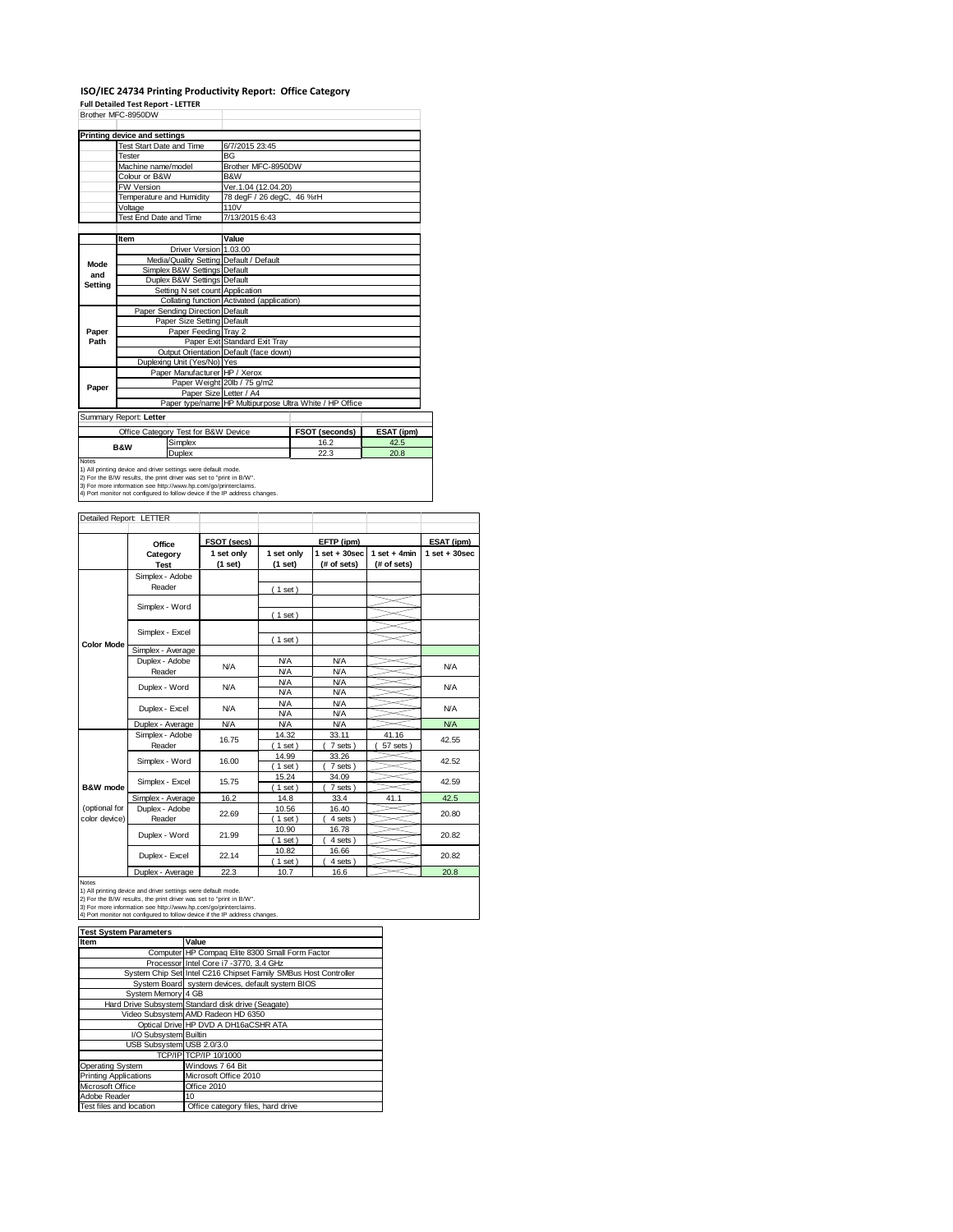#### **ISO/IEC 24734 Printing Productivity Report: Office Category**

**Full Detailed Test Report ‐ LETTER**

|         | Brother MFC-8950DW                  |                                     |                                            |                                                         |            |  |  |
|---------|-------------------------------------|-------------------------------------|--------------------------------------------|---------------------------------------------------------|------------|--|--|
|         |                                     |                                     |                                            |                                                         |            |  |  |
|         | <b>Printing device and settings</b> |                                     |                                            |                                                         |            |  |  |
|         | Test Start Date and Time            |                                     | 6/7/2015 23:45                             |                                                         |            |  |  |
|         | Tester                              |                                     | <b>BG</b>                                  |                                                         |            |  |  |
|         | Machine name/model                  |                                     | Brother MFC-8950DW                         |                                                         |            |  |  |
|         | Colour or B&W                       |                                     | B&W                                        |                                                         |            |  |  |
|         | <b>FW Version</b>                   |                                     | Ver.1.04 (12.04.20)                        |                                                         |            |  |  |
|         | Temperature and Humidity            |                                     | 78 degF / 26 degC, 46 %rH                  |                                                         |            |  |  |
|         | Voltage                             |                                     | 110V                                       |                                                         |            |  |  |
|         | Test End Date and Time              |                                     | 7/13/2015 6:43                             |                                                         |            |  |  |
|         |                                     |                                     |                                            |                                                         |            |  |  |
|         | Item                                |                                     | Value                                      |                                                         |            |  |  |
|         |                                     | Driver Version 1.03.00              |                                            |                                                         |            |  |  |
| Mode    |                                     |                                     | Media/Quality Setting Default / Default    |                                                         |            |  |  |
| and     |                                     | Simplex B&W Settings Default        |                                            |                                                         |            |  |  |
| Setting |                                     | Duplex B&W Settings Default         |                                            |                                                         |            |  |  |
|         |                                     | Setting N set count Application     |                                            |                                                         |            |  |  |
|         |                                     |                                     | Collating function Activated (application) |                                                         |            |  |  |
|         |                                     | Paper Sending Direction Default     |                                            |                                                         |            |  |  |
|         |                                     | Paper Size Setting Default          |                                            |                                                         |            |  |  |
| Paper   |                                     | Paper Feeding Tray 2                |                                            |                                                         |            |  |  |
| Path    |                                     |                                     | Paper Exit Standard Exit Tray              |                                                         |            |  |  |
|         |                                     |                                     | Output Orientation Default (face down)     |                                                         |            |  |  |
|         |                                     | Duplexing Unit (Yes/No) Yes         |                                            |                                                         |            |  |  |
|         |                                     | Paper Manufacturer HP / Xerox       |                                            |                                                         |            |  |  |
| Paper   |                                     |                                     | Paper Weight 20lb / 75 g/m2                |                                                         |            |  |  |
|         |                                     |                                     | Paper Size Letter / A4                     |                                                         |            |  |  |
|         |                                     |                                     |                                            | Paper type/name HP Multipurpose Ultra White / HP Office |            |  |  |
|         | Summary Report: Letter              |                                     |                                            |                                                         |            |  |  |
|         |                                     | Office Category Test for B&W Device |                                            | FSOT (seconds)                                          | ESAT (ipm) |  |  |
|         |                                     | Simplex                             |                                            | 16.2                                                    | 42.5       |  |  |
|         | <b>B&amp;W</b>                      | Duplex                              |                                            | 22.3                                                    | 20.8       |  |  |
| Notes   |                                     |                                     |                                            |                                                         |            |  |  |

Notes<br>1) All printing device and driver settings were default mode.<br>2) For the B/W results, the print driver was set to "print in B/W".<br>3) For more information see http://www.hp.com/go/printerclaims.<br>4) Port monitor not co

| Detailed Report: LETTER        |                           |                       |                          |                                  |                               |                   |
|--------------------------------|---------------------------|-----------------------|--------------------------|----------------------------------|-------------------------------|-------------------|
|                                | Office                    | FSOT (secs)           |                          | EFTP (ipm)                       |                               | ESAT (ipm)        |
|                                | Category<br><b>Test</b>   | 1 set only<br>(1 set) | 1 set only<br>(1 set)    | $1$ set $+30$ sec<br>(# of sets) | $1$ set + 4min<br>(# of sets) | $1$ set $+30$ sec |
|                                | Simplex - Adobe<br>Reader |                       | (1 set)                  |                                  |                               |                   |
|                                | Simplex - Word            |                       | (1 set)                  |                                  |                               |                   |
|                                | Simplex - Excel           |                       |                          |                                  |                               |                   |
| <b>Color Mode</b>              | Simplex - Average         |                       | (1 set)                  |                                  |                               |                   |
|                                | Duplex - Adobe<br>Reader  | <b>N/A</b>            | <b>N/A</b><br><b>N/A</b> | <b>N/A</b><br><b>N/A</b>         |                               | <b>N/A</b>        |
|                                | Duplex - Word             | N/A                   | <b>N/A</b><br><b>N/A</b> | <b>N/A</b><br><b>N/A</b>         |                               | <b>N/A</b>        |
|                                | Duplex - Excel            | N/A                   | <b>N/A</b><br><b>N/A</b> | <b>N/A</b><br><b>N/A</b>         |                               | <b>N/A</b>        |
|                                | Duplex - Average          | <b>N/A</b>            | <b>N/A</b>               | <b>N/A</b>                       |                               | <b>N/A</b>        |
|                                | Simplex - Adobe<br>Reader | 16.75                 | 14.32<br>$1$ set)        | 33.11<br>7 sets)                 | 41.16<br>57 sets              | 42.55             |
|                                | Simplex - Word            | 16.00                 | 14.99<br>$1$ set)        | 33.26<br>7 sets)                 |                               | 42.52             |
| B&W mode                       | Simplex - Excel           | 15.75                 | 15.24<br>$1$ set)        | 34.09<br>7 sets)                 |                               | 42.59             |
|                                | Simplex - Average         | 16.2                  | 14.8                     | 33.4                             | 41.1                          | 42.5              |
| (optional for<br>color device) | Duplex - Adobe<br>Reader  | 22.69                 | 10.56<br>$1$ set)        | 16.40<br>4 sets)                 |                               | 20.80             |
|                                | Duplex - Word             | 21.99                 | 10.90<br>$1$ set)        | 16.78<br>4 sets)                 |                               | 20.82             |
|                                | Duplex - Excel            | 22.14                 | 10.82<br>$1$ set)        | 16.66<br>4 sets)                 |                               | 20.82             |
|                                | Donation of the Con-      | $\sim$ $\sim$         | $\sim$ $-$               | $\sim$                           |                               | $\sim$ $\sim$     |

Notes<br>
1) All printing device and driver settings were default mode.<br>
1) All printing device and driver settings were default mode.<br>
2) For the B/W results, the print driver was set to "print in B/W".<br>
3) For more inform

| <b>Test System Parameters</b> |                                                                 |  |  |  |  |  |
|-------------------------------|-----------------------------------------------------------------|--|--|--|--|--|
| Item                          | Value                                                           |  |  |  |  |  |
|                               | Computer HP Compaq Elite 8300 Small Form Factor                 |  |  |  |  |  |
|                               | Processor Intel Core i7 -3770, 3.4 GHz                          |  |  |  |  |  |
|                               | System Chip Set Intel C216 Chipset Family SMBus Host Controller |  |  |  |  |  |
|                               | System Board system devices, default system BIOS                |  |  |  |  |  |
| System Memory 4 GB            |                                                                 |  |  |  |  |  |
|                               | Hard Drive Subsystem Standard disk drive (Seagate)              |  |  |  |  |  |
|                               | Video Subsystem AMD Radeon HD 6350                              |  |  |  |  |  |
|                               | Optical Drive HP DVD A DH16aCSHR ATA                            |  |  |  |  |  |
| I/O Subsystem Builtin         |                                                                 |  |  |  |  |  |
| USB Subsystem USB 2.0/3.0     |                                                                 |  |  |  |  |  |
|                               | TCP/IP TCP/IP 10/1000                                           |  |  |  |  |  |
| Operating System              | Windows 7 64 Bit                                                |  |  |  |  |  |
| <b>Printing Applications</b>  | Microsoft Office 2010                                           |  |  |  |  |  |
| Microsoft Office              | Office 2010                                                     |  |  |  |  |  |
| Adobe Reader                  | 10                                                              |  |  |  |  |  |
| Test files and location       | Office category files, hard drive                               |  |  |  |  |  |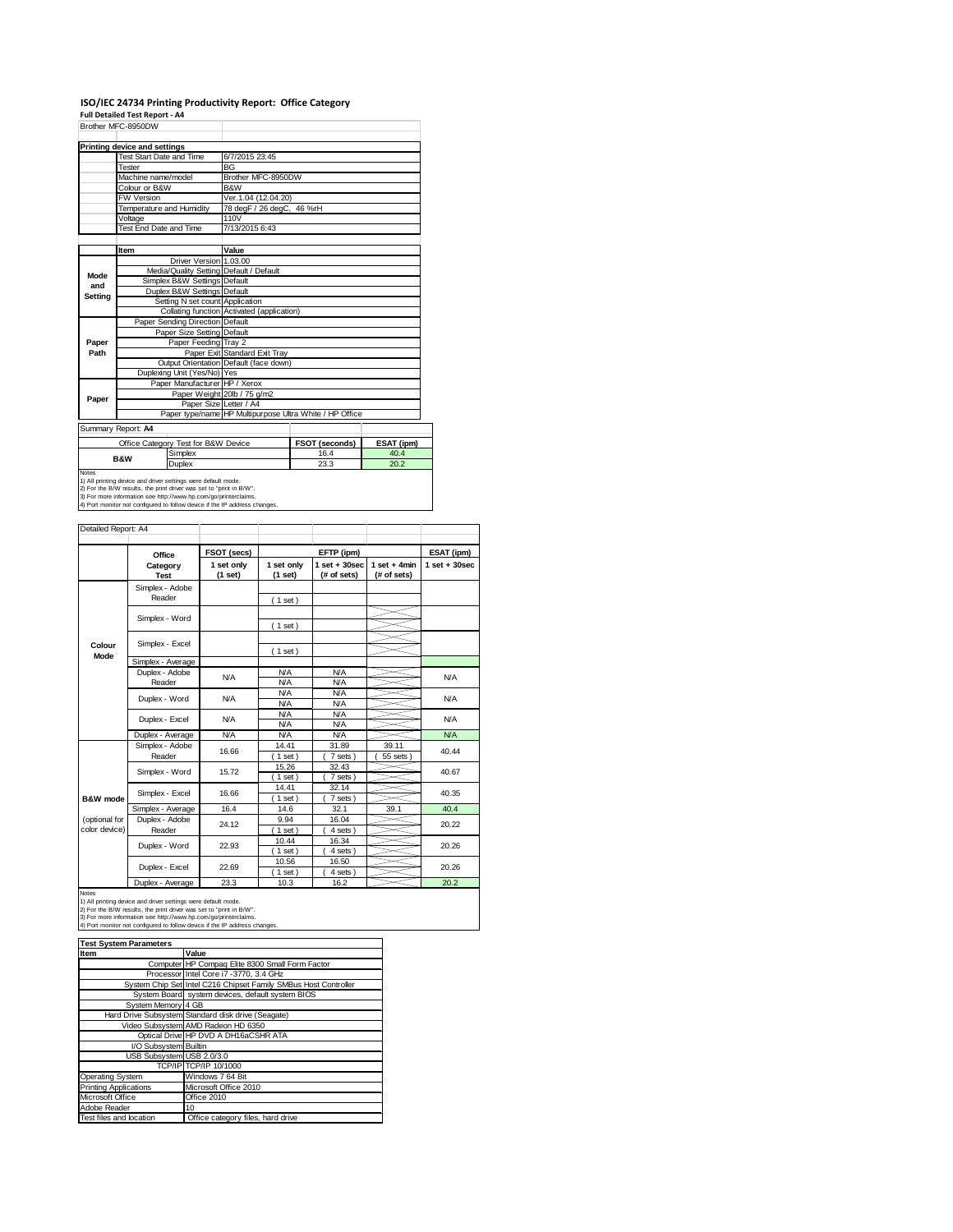# **ISO/IEC 24734 Printing Productivity Report: Office Category Full Detailed Test Report ‐ A4** Brother MFC-8950DW

|              | DIUIEI MFC-093UUW            |                                                               |                                                         |                |            |  |  |
|--------------|------------------------------|---------------------------------------------------------------|---------------------------------------------------------|----------------|------------|--|--|
|              | Printing device and settings |                                                               |                                                         |                |            |  |  |
|              | Test Start Date and Time     |                                                               | 6/7/2015 23:45                                          |                |            |  |  |
|              | Tester                       |                                                               | <b>BG</b>                                               |                |            |  |  |
|              | Machine name/model           |                                                               | Brother MFC-8950DW                                      |                |            |  |  |
|              | Colour or B&W                |                                                               | B&W                                                     |                |            |  |  |
|              | <b>FW Version</b>            |                                                               | Ver.1.04 (12.04.20)                                     |                |            |  |  |
|              | Temperature and Humidity     |                                                               | 78 degF / 26 degC, 46 %rH                               |                |            |  |  |
|              | Voltage                      |                                                               | 110V                                                    |                |            |  |  |
|              | Test End Date and Time       |                                                               | 7/13/2015 6:43                                          |                |            |  |  |
|              |                              |                                                               |                                                         |                |            |  |  |
|              | Item                         |                                                               | Value                                                   |                |            |  |  |
|              |                              | Driver Version 1.03.00                                        |                                                         |                |            |  |  |
| Mode         |                              |                                                               | Media/Quality Setting Default / Default                 |                |            |  |  |
| and          |                              | Simplex B&W Settings Default                                  |                                                         |                |            |  |  |
| Setting      |                              | Duplex B&W Settings Default                                   |                                                         |                |            |  |  |
|              |                              | Setting N set count Application                               |                                                         |                |            |  |  |
|              |                              |                                                               | Collating function Activated (application)              |                |            |  |  |
|              |                              | Paper Sending Direction Default                               |                                                         |                |            |  |  |
|              |                              | Paper Size Setting Default                                    |                                                         |                |            |  |  |
| Paper        |                              | Paper Feeding Tray 2                                          |                                                         |                |            |  |  |
| Path         |                              |                                                               | Paper Exit Standard Exit Tray                           |                |            |  |  |
|              |                              |                                                               | Output Orientation Default (face down)                  |                |            |  |  |
|              |                              | Duplexing Unit (Yes/No) Yes                                   |                                                         |                |            |  |  |
|              |                              | Paper Manufacturer HP / Xerox                                 |                                                         |                |            |  |  |
| Paper        |                              |                                                               | Paper Weight 20lb / 75 g/m2                             |                |            |  |  |
|              |                              |                                                               | Paper Size Letter / A4                                  |                |            |  |  |
|              |                              |                                                               | Paper type/name HP Multipurpose Ultra White / HP Office |                |            |  |  |
|              | Summary Report: A4           |                                                               |                                                         |                |            |  |  |
|              |                              | Office Category Test for B&W Device                           |                                                         | FSOT (seconds) | ESAT (ipm) |  |  |
|              | <b>B&amp;W</b>               | Simplex                                                       |                                                         | 16.4           | 40.4       |  |  |
|              |                              | Duplex                                                        |                                                         | 23.3           | 20.2       |  |  |
| <b>Notes</b> |                              | 1) All printing device and driver settings were default mode. |                                                         |                |            |  |  |

| Detailed Report: A4            |                           |                       |                          |                                 |                               |                   |
|--------------------------------|---------------------------|-----------------------|--------------------------|---------------------------------|-------------------------------|-------------------|
|                                | Office                    | FSOT (secs)           |                          | EFTP (ipm)                      |                               | ESAT (ipm)        |
|                                | Category<br><b>Test</b>   | 1 set only<br>(1 set) | 1 set only<br>(1 set)    | $1 set + 30 sec$<br>(# of sets) | $1$ set + 4min<br>(# of sets) | $1$ set $+30$ sec |
| Colour<br>Mode                 | Simplex - Adobe<br>Reader |                       | (1 set)                  |                                 |                               |                   |
|                                | Simplex - Word            |                       |                          |                                 |                               |                   |
|                                |                           |                       | (1 set)                  |                                 |                               |                   |
|                                | Simplex - Excel           |                       | (1 set)                  |                                 |                               |                   |
|                                | Simplex - Average         |                       |                          |                                 |                               |                   |
|                                | Duplex - Adobe<br>Reader  | N/A                   | <b>N/A</b><br><b>N/A</b> | <b>N/A</b><br><b>N/A</b>        |                               | <b>N/A</b>        |
|                                | Duplex - Word             | N/A                   | <b>N/A</b><br><b>N/A</b> | <b>N/A</b><br><b>N/A</b>        |                               | <b>N/A</b>        |
|                                | Duplex - Excel            | N/A                   | <b>N/A</b><br><b>N/A</b> | <b>N/A</b><br><b>N/A</b>        |                               | <b>N/A</b>        |
|                                | Duplex - Average          | <b>N/A</b>            | <b>N/A</b>               | <b>N/A</b>                      |                               | <b>N/A</b>        |
|                                | Simplex - Adobe<br>Reader | 16.66                 | 14.41<br>$1$ set $)$     | 31.89<br>7 sets                 | 39.11<br>55 sets              | 40.44             |
|                                | Simplex - Word            | 15.72                 | 15.26                    | 32.43                           |                               | 40.67             |
|                                | Simplex - Excel           | 16.66                 | (1 set)<br>14.41         | 7 sets)<br>32.14                |                               | 40.35             |
| B&W mode                       |                           |                       | 1 set                    | 7 sets                          |                               |                   |
|                                | Simplex - Average         | 16.4                  | 14.6                     | 32.1                            | 39.1                          | 40.4              |
| (optional for<br>color device) | Duplex - Adobe<br>Reader  | 24.12                 | 9.94<br>$1$ set $)$      | 16.04<br>4 sets)                |                               | 20.22             |
|                                | Duplex - Word             | 22.93                 | 10.44<br>$1$ set $)$     | 16.34<br>4 sets                 |                               | 20.26             |
|                                | Duplex - Excel            | 22.69                 | 10.56<br>$1$ set)        | 16.50<br>4 sets)                |                               | 20.26             |
|                                | Duplex - Average          | 23.3                  | 10.3                     | 16.2                            |                               | 20.2              |

| <b>Test System Parameters</b> |                                                                 |  |  |  |  |  |
|-------------------------------|-----------------------------------------------------------------|--|--|--|--|--|
| Item                          | Value                                                           |  |  |  |  |  |
|                               | Computer HP Compag Elite 8300 Small Form Factor                 |  |  |  |  |  |
|                               | Processor Intel Core i7 -3770, 3.4 GHz                          |  |  |  |  |  |
|                               | System Chip Set Intel C216 Chipset Family SMBus Host Controller |  |  |  |  |  |
|                               | System Board system devices, default system BIOS                |  |  |  |  |  |
| System Memory 4 GB            |                                                                 |  |  |  |  |  |
|                               | Hard Drive Subsystem Standard disk drive (Seagate)              |  |  |  |  |  |
|                               | Video Subsystem AMD Radeon HD 6350                              |  |  |  |  |  |
|                               | Optical Drive HP DVD A DH16aCSHR ATA                            |  |  |  |  |  |
| I/O Subsystem Builtin         |                                                                 |  |  |  |  |  |
| USB Subsystem USB 2.0/3.0     |                                                                 |  |  |  |  |  |
|                               | TCP/IP TCP/IP 10/1000                                           |  |  |  |  |  |
| <b>Operating System</b>       | Windows 7 64 Bit                                                |  |  |  |  |  |
| <b>Printing Applications</b>  | Microsoft Office 2010                                           |  |  |  |  |  |
| Microsoft Office              | Office 2010                                                     |  |  |  |  |  |
| Adobe Reader                  | 10                                                              |  |  |  |  |  |
| Test files and location       | Office category files, hard drive                               |  |  |  |  |  |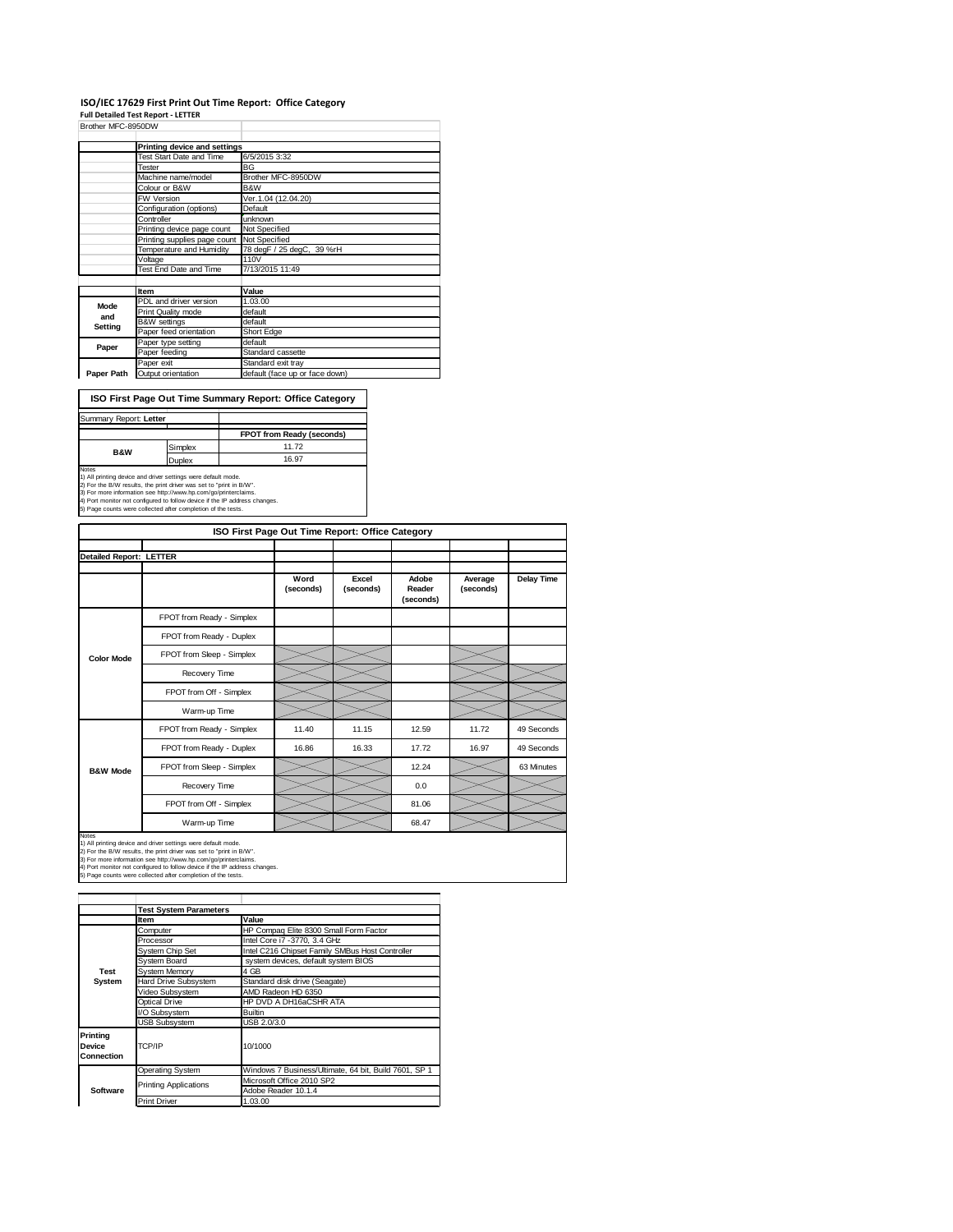#### **ISO/IEC 17629 First Print Out Time Report: Office Category**

**Full Detailed Test Report ‐ LETTER**

| Brother MFC-8950DW |                                 |                                |  |  |  |
|--------------------|---------------------------------|--------------------------------|--|--|--|
|                    | Printing device and settings    |                                |  |  |  |
|                    | <b>Test Start Date and Time</b> | 6/5/2015 3:32                  |  |  |  |
|                    | Tester                          | BG                             |  |  |  |
|                    | Machine name/model              | Brother MFC-8950DW             |  |  |  |
|                    | Colour or B&W                   | B&W                            |  |  |  |
|                    | <b>FW Version</b>               | Ver.1.04 (12.04.20)            |  |  |  |
|                    | Configuration (options)         | Default                        |  |  |  |
|                    | Controller                      | unknown                        |  |  |  |
|                    | Printing device page count      | Not Specified                  |  |  |  |
|                    | Printing supplies page count    | Not Specified                  |  |  |  |
|                    | Temperature and Humidity        | 78 degF / 25 degC, 39 %rH      |  |  |  |
|                    | Voltage                         | 110V                           |  |  |  |
|                    | Test End Date and Time          | 7/13/2015 11:49                |  |  |  |
|                    |                                 |                                |  |  |  |
|                    | Item                            | Value                          |  |  |  |
| Mode               | PDL and driver version          | 1.03.00                        |  |  |  |
| and                | Print Quality mode              | default                        |  |  |  |
| Setting            | <b>B&amp;W</b> settings         | default                        |  |  |  |
|                    | Paper feed orientation          | Short Edge                     |  |  |  |
| Paper              | Paper type setting              | default                        |  |  |  |
|                    | Paper feeding                   | Standard cassette              |  |  |  |
|                    | Paper exit                      | Standard exit tray             |  |  |  |
| Paper Path         | Output orientation              | default (face up or face down) |  |  |  |

**ISO First Page Out Time Summary Report: Office Category**

| Summary Report: Letter |         |                                  |
|------------------------|---------|----------------------------------|
|                        |         | <b>FPOT from Ready (seconds)</b> |
| <b>B&amp;W</b>         | Simplex | 11.72                            |
|                        | Duplex  | 16.97                            |
| Notes                  |         |                                  |

Notes<br>1) All printing device and driver settings were default mode.<br>2) For the B/W results, the print driver was set to "print in B/W".<br>3) For more information see http://www.hp.com/go/printerclaims.<br>4) Port monitor not co

|                                | ISO First Page Out Time Report: Office Category |                   |                    |                              |                      |                   |  |  |  |
|--------------------------------|-------------------------------------------------|-------------------|--------------------|------------------------------|----------------------|-------------------|--|--|--|
| <b>Detailed Report: LETTER</b> |                                                 |                   |                    |                              |                      |                   |  |  |  |
|                                |                                                 | Word<br>(seconds) | Excel<br>(seconds) | Adobe<br>Reader<br>(seconds) | Average<br>(seconds) | <b>Delay Time</b> |  |  |  |
|                                | FPOT from Ready - Simplex                       |                   |                    |                              |                      |                   |  |  |  |
|                                | FPOT from Ready - Duplex                        |                   |                    |                              |                      |                   |  |  |  |
| <b>Color Mode</b>              | FPOT from Sleep - Simplex                       |                   |                    |                              |                      |                   |  |  |  |
|                                | Recovery Time                                   |                   |                    |                              |                      |                   |  |  |  |
|                                | FPOT from Off - Simplex                         |                   |                    |                              |                      |                   |  |  |  |
|                                | Warm-up Time                                    |                   |                    |                              |                      |                   |  |  |  |
|                                | FPOT from Ready - Simplex                       | 11.40             | 11.15              | 12.59                        | 11.72                | 49 Seconds        |  |  |  |
|                                | FPOT from Ready - Duplex                        | 16.86             | 16.33              | 17.72                        | 16.97                | 49 Seconds        |  |  |  |
| <b>B&amp;W Mode</b>            | FPOT from Sleep - Simplex                       |                   |                    | 12.24                        |                      | 63 Minutes        |  |  |  |
|                                | Recovery Time                                   |                   |                    | 0.0                          |                      |                   |  |  |  |
|                                | FPOT from Off - Simplex                         |                   |                    | 81.06                        |                      |                   |  |  |  |
|                                | Warm-up Time                                    |                   |                    | 68.47                        |                      |                   |  |  |  |

Notes<br>1) All printing device and driver settings were default mode.<br>2) For the B/W results, the print driver was set to "print in B/W".<br>3) For more information see http://www.hp.com/go/printerclaims.<br>4) Port monitor not co

**Item Value**<br> **Computer HP Computer** Computer **HP Compaq Elite 8300 Small Form Factor**<br>
Processor **Intel Core i7 -3770, 3.4 GHz** System Chip Set Intel C216 Chipset Family SMBus Host Controller<br>System Board system devices, default system BIOS System Memory<br>Hard Drive Subsystem Stand Hard Drive Subsystem Standard disk drive (Seagate)<br>Video Subsystem AMD Radeon HD 6350 Video Subsystem AMD Radeon HD 6350 Optical Drive HP DVD A DH16aCSHR ATA /O Subsystem USB Subsystem USB 2.0/3.0 Operating System Windows 7 Business/Ultimate, 64 bit, Build 7601, SP 1 Microsoft Office 2010 SP2 Adobe Reader 10.1.4 Print Driver **Test System Software Test System Parameters Printing Device Connection** TCP/IP 10/1000 Printing Applications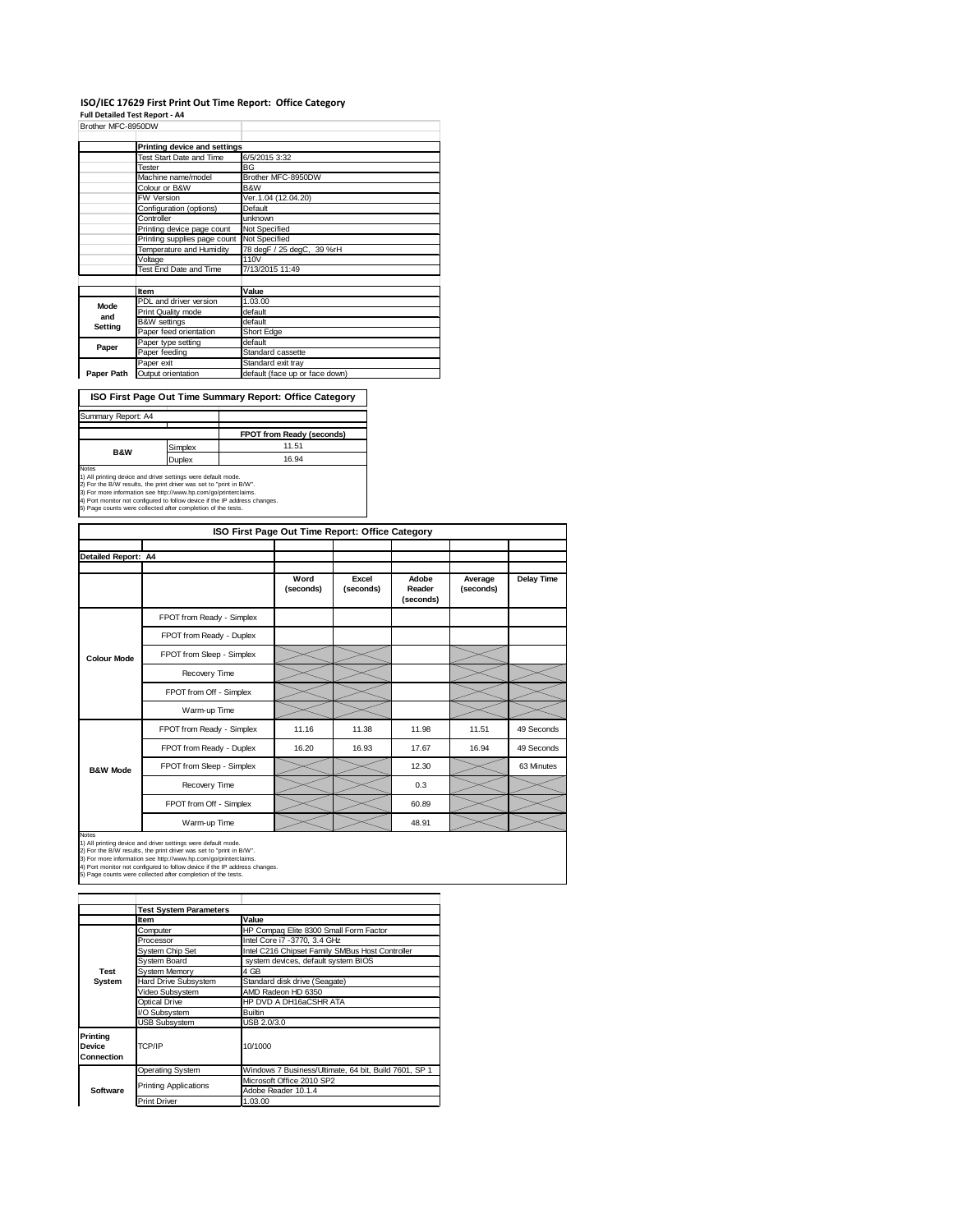#### **ISO/IEC 17629 First Print Out Time Report: Office Category**

**Full Detailed Test Report ‐ A4**

| Brother MFC-8950DW |                                    |                                |  |  |  |
|--------------------|------------------------------------|--------------------------------|--|--|--|
|                    | Printing device and settings       |                                |  |  |  |
|                    |                                    | 6/5/2015 3:32                  |  |  |  |
|                    | Test Start Date and Time<br>Tester | <b>BG</b>                      |  |  |  |
|                    |                                    |                                |  |  |  |
|                    | Machine name/model                 | Brother MFC-8950DW             |  |  |  |
|                    | Colour or B&W                      | B&W                            |  |  |  |
|                    | <b>FW Version</b>                  | Ver.1.04 (12.04.20)            |  |  |  |
|                    | Configuration (options)            | Default                        |  |  |  |
|                    | Controller                         | unknown                        |  |  |  |
|                    | Printing device page count         | Not Specified                  |  |  |  |
|                    | Printing supplies page count       | Not Specified                  |  |  |  |
|                    | Temperature and Humidity           | 78 degF / 25 degC, 39 %rH      |  |  |  |
|                    | Voltage                            | 110V                           |  |  |  |
|                    | Test End Date and Time             | 7/13/2015 11:49                |  |  |  |
|                    |                                    |                                |  |  |  |
|                    | Item                               | Value                          |  |  |  |
| Mode               | PDL and driver version             | 1.03.00                        |  |  |  |
| and                | Print Quality mode                 | default                        |  |  |  |
|                    | <b>B&amp;W</b> settings            | default                        |  |  |  |
| Setting            | Paper feed orientation             | Short Edge                     |  |  |  |
|                    | Paper type setting                 | default                        |  |  |  |
| Paper              | Paper feeding                      | Standard cassette              |  |  |  |
|                    | Paper exit                         | Standard exit tray             |  |  |  |
| Paper Path         | Output orientation                 | default (face up or face down) |  |  |  |

**ISO First Page Out Time Summary Report: Office Category**

| Summary Report: A4 |               |                           |
|--------------------|---------------|---------------------------|
|                    |               |                           |
|                    |               | FPOT from Ready (seconds) |
| <b>B&amp;W</b>     | Simplex       | 11.51                     |
|                    | <b>Duplex</b> | 16.94                     |
| <b>Notes</b>       |               |                           |

Notes<br>1) All printing device and driver settings were default mode.<br>2) For the B/W results, the print driver was set to "print in B/W".<br>3) For more information see http://www.hp.com/go/printerclaims.<br>4) Port monitor not co

|                     | ISO First Page Out Time Report: Office Category |                   |                    |                              |                      |            |  |  |  |
|---------------------|-------------------------------------------------|-------------------|--------------------|------------------------------|----------------------|------------|--|--|--|
|                     |                                                 |                   |                    |                              |                      |            |  |  |  |
| Detailed Report: A4 |                                                 |                   |                    |                              |                      |            |  |  |  |
|                     |                                                 | Word<br>(seconds) | Excel<br>(seconds) | Adobe<br>Reader<br>(seconds) | Average<br>(seconds) | Delay Time |  |  |  |
|                     | FPOT from Ready - Simplex                       |                   |                    |                              |                      |            |  |  |  |
|                     | FPOT from Ready - Duplex                        |                   |                    |                              |                      |            |  |  |  |
| <b>Colour Mode</b>  | FPOT from Sleep - Simplex                       |                   |                    |                              |                      |            |  |  |  |
|                     | Recovery Time                                   |                   |                    |                              |                      |            |  |  |  |
|                     | FPOT from Off - Simplex                         |                   |                    |                              |                      |            |  |  |  |
|                     | Warm-up Time                                    |                   |                    |                              |                      |            |  |  |  |
|                     | FPOT from Ready - Simplex                       | 11.16             | 11.38              | 11.98                        | 11.51                | 49 Seconds |  |  |  |
|                     | FPOT from Ready - Duplex                        | 16.20             | 16.93              | 17.67                        | 16.94                | 49 Seconds |  |  |  |
| <b>B&amp;W Mode</b> | FPOT from Sleep - Simplex                       |                   |                    | 12.30                        |                      | 63 Minutes |  |  |  |
|                     | Recovery Time                                   |                   |                    | 0.3                          |                      |            |  |  |  |
|                     | FPOT from Off - Simplex                         |                   |                    | 60.89                        |                      |            |  |  |  |
|                     | Warm-up Time                                    |                   |                    | 48.91                        |                      |            |  |  |  |

Notes<br>1) All printing device and driver settings were default mode.<br>2) For the B/W results, the print driver was set to "print in B/W".<br>3) For more information see http://www.hp.com/go/printerclaims.<br>4) Port monitor not co

|                                                | <b>Test System Parameters</b>                         |                                                       |  |
|------------------------------------------------|-------------------------------------------------------|-------------------------------------------------------|--|
|                                                | Item                                                  | Value                                                 |  |
|                                                | Computer                                              | HP Compaq Elite 8300 Small Form Factor                |  |
|                                                | Processor                                             | Intel Core i7 -3770, 3.4 GHz                          |  |
|                                                | System Chip Set                                       | Intel C216 Chipset Family SMBus Host Controller       |  |
|                                                | System Board                                          | system devices, default system BIOS                   |  |
| <b>Test</b>                                    | <b>System Memory</b>                                  | 4 GB                                                  |  |
| System                                         | Hard Drive Subsystem<br>Standard disk drive (Seagate) |                                                       |  |
|                                                | Video Subsystem                                       | AMD Radeon HD 6350                                    |  |
|                                                | Optical Drive                                         | HP DVD A DH16aCSHR ATA                                |  |
|                                                | I/O Subsystem                                         | <b>Builtin</b>                                        |  |
|                                                | <b>USB Subsystem</b>                                  | USB 2.0/3.0                                           |  |
| <b>Printing</b><br><b>Device</b><br>Connection | TCP/IP                                                | 10/1000                                               |  |
|                                                |                                                       | Windows 7 Business/Ultimate, 64 bit, Build 7601, SP 1 |  |
|                                                | Operating System                                      |                                                       |  |
|                                                | <b>Printing Applications</b>                          | Microsoft Office 2010 SP2                             |  |
| Software                                       |                                                       | Adobe Reader 10.1.4                                   |  |
|                                                | <b>Print Driver</b>                                   | 1.03.00                                               |  |
|                                                |                                                       |                                                       |  |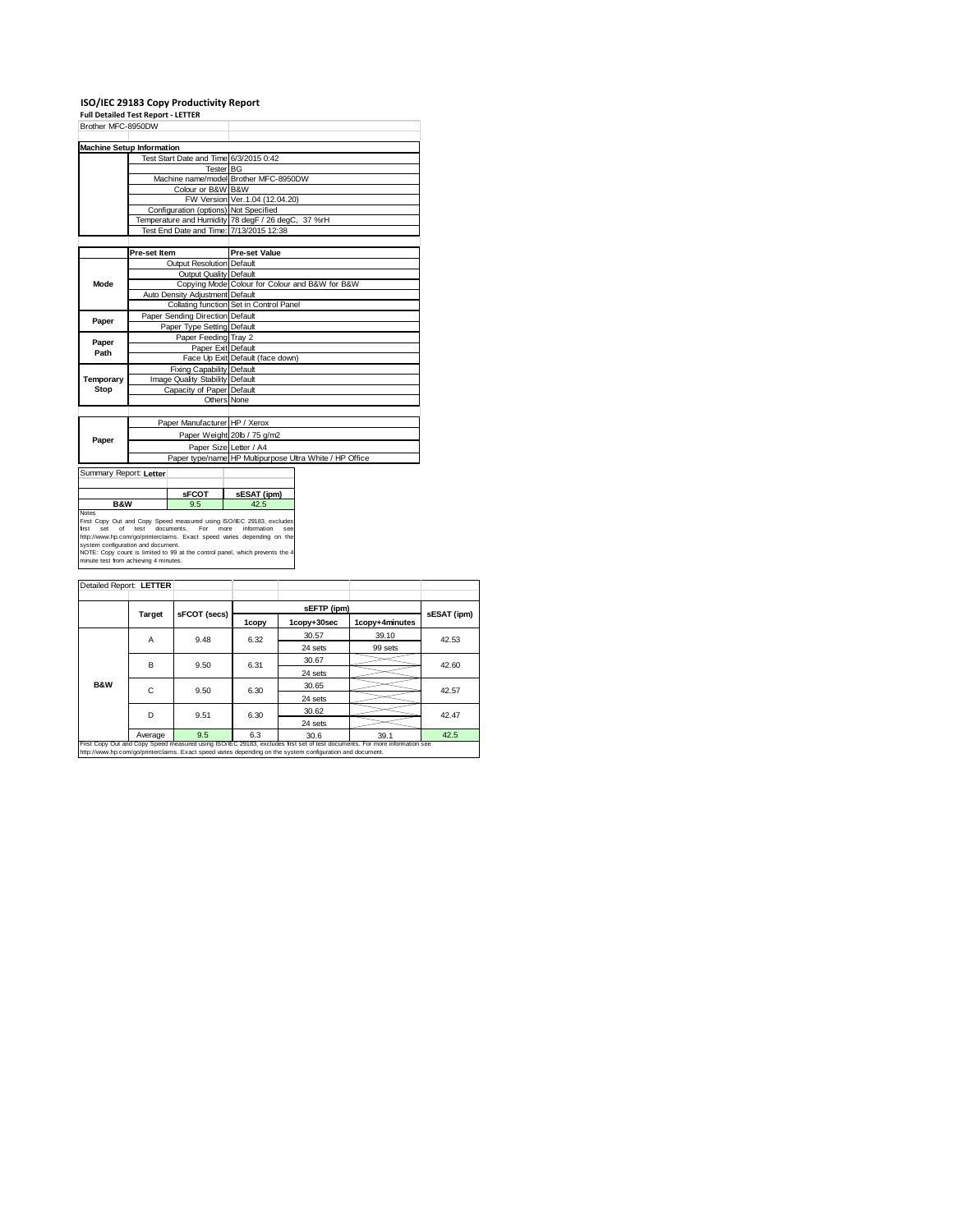## **ISO/IEC 29183 Copy Productivity Report Full Detailed Test Report ‐ LETTER**

| Brother MFC-8950DW                                                                                                |                           |                                       |                                                                                                                                                                                                                                                        |  |  |
|-------------------------------------------------------------------------------------------------------------------|---------------------------|---------------------------------------|--------------------------------------------------------------------------------------------------------------------------------------------------------------------------------------------------------------------------------------------------------|--|--|
| <b>Machine Setup Information</b>                                                                                  |                           |                                       |                                                                                                                                                                                                                                                        |  |  |
|                                                                                                                   |                           |                                       | Test Start Date and Time 6/3/2015 0:42                                                                                                                                                                                                                 |  |  |
|                                                                                                                   |                           | Tester BG                             |                                                                                                                                                                                                                                                        |  |  |
|                                                                                                                   |                           |                                       | Machine name/model Brother MFC-8950DW                                                                                                                                                                                                                  |  |  |
|                                                                                                                   |                           | Colour or B&W B&W                     |                                                                                                                                                                                                                                                        |  |  |
|                                                                                                                   |                           |                                       | FW Version Ver. 1.04 (12.04.20)                                                                                                                                                                                                                        |  |  |
|                                                                                                                   |                           | Configuration (options) Not Specified |                                                                                                                                                                                                                                                        |  |  |
|                                                                                                                   |                           |                                       | Temperature and Humidity 78 degF / 26 degC, 37 %rH                                                                                                                                                                                                     |  |  |
|                                                                                                                   |                           |                                       | Test End Date and Time: 7/13/2015 12:38                                                                                                                                                                                                                |  |  |
|                                                                                                                   |                           |                                       |                                                                                                                                                                                                                                                        |  |  |
|                                                                                                                   | Pre-set Item              |                                       | <b>Pre-set Value</b>                                                                                                                                                                                                                                   |  |  |
|                                                                                                                   |                           | Output Resolution Default             |                                                                                                                                                                                                                                                        |  |  |
|                                                                                                                   |                           | Output Quality Default                |                                                                                                                                                                                                                                                        |  |  |
| Mode                                                                                                              |                           |                                       | Copying Mode Colour for Colour and B&W for B&W                                                                                                                                                                                                         |  |  |
|                                                                                                                   |                           | Auto Density Adjustment Default       |                                                                                                                                                                                                                                                        |  |  |
|                                                                                                                   |                           |                                       | Collating function Set in Control Panel                                                                                                                                                                                                                |  |  |
| Paper                                                                                                             |                           | Paper Sending Direction Default       |                                                                                                                                                                                                                                                        |  |  |
|                                                                                                                   |                           | Paper Type Setting Default            |                                                                                                                                                                                                                                                        |  |  |
| Paper                                                                                                             |                           | Paper Feeding Tray 2                  |                                                                                                                                                                                                                                                        |  |  |
| Path                                                                                                              |                           | Paper Exit Default                    |                                                                                                                                                                                                                                                        |  |  |
|                                                                                                                   |                           |                                       | Face Up Exit Default (face down)                                                                                                                                                                                                                       |  |  |
|                                                                                                                   |                           | Fixing Capability Default             |                                                                                                                                                                                                                                                        |  |  |
| Temporary                                                                                                         |                           | Image Quality Stability Default       |                                                                                                                                                                                                                                                        |  |  |
| Stop                                                                                                              | Capacity of Paper Default |                                       |                                                                                                                                                                                                                                                        |  |  |
|                                                                                                                   |                           |                                       | Others None                                                                                                                                                                                                                                            |  |  |
|                                                                                                                   |                           |                                       |                                                                                                                                                                                                                                                        |  |  |
|                                                                                                                   |                           | Paper Manufacturer HP / Xerox         |                                                                                                                                                                                                                                                        |  |  |
| Paper                                                                                                             |                           |                                       | Paper Weight 20lb / 75 g/m2                                                                                                                                                                                                                            |  |  |
|                                                                                                                   |                           |                                       | Paper Size Letter / A4                                                                                                                                                                                                                                 |  |  |
|                                                                                                                   |                           |                                       | Paper type/name HP Multipurpose Ultra White / HP Office                                                                                                                                                                                                |  |  |
| Summary Report: Letter                                                                                            |                           |                                       |                                                                                                                                                                                                                                                        |  |  |
|                                                                                                                   |                           |                                       |                                                                                                                                                                                                                                                        |  |  |
|                                                                                                                   | <b>SFCOT</b>              |                                       | sESAT (ipm)                                                                                                                                                                                                                                            |  |  |
|                                                                                                                   | <b>B&amp;W</b><br>9.5     |                                       | 42.5                                                                                                                                                                                                                                                   |  |  |
| <b>Notes</b><br>of<br>first<br>Set<br>system configuration and document.<br>minute test from achieving 4 minutes. | test                      | documents.<br>For                     | First Copy Out and Copy Speed measured using ISO/IEC 29183, excludes<br>more<br>information<br>http://www.hp.com/go/printerclaims. Exact speed varies depending on the<br>NOTE: Copy count is limited to 99 at the control panel, which prevents the 4 |  |  |

| Detailed Report: LETTER |                                                                                                                                                                                                                                          |              |       |                               |         |             |  |
|-------------------------|------------------------------------------------------------------------------------------------------------------------------------------------------------------------------------------------------------------------------------------|--------------|-------|-------------------------------|---------|-------------|--|
|                         |                                                                                                                                                                                                                                          |              |       | sEFTP (ipm)                   |         |             |  |
|                         | Target                                                                                                                                                                                                                                   | sFCOT (secs) | 1copy | 1copy+4minutes<br>1copy+30sec |         | sESAT (ipm) |  |
|                         | A                                                                                                                                                                                                                                        | 9.48         | 6.32  | 30.57                         | 39.10   | 42.53       |  |
|                         |                                                                                                                                                                                                                                          |              |       | 24 sets                       | 99 sets |             |  |
|                         | B                                                                                                                                                                                                                                        | 9.50         | 6.31  | 30.67                         |         | 42.60       |  |
|                         |                                                                                                                                                                                                                                          |              |       | 24 sets                       |         |             |  |
| <b>B&amp;W</b>          | C                                                                                                                                                                                                                                        | 9.50         | 6.30  | 30.65                         |         | 42.57       |  |
|                         |                                                                                                                                                                                                                                          |              |       | 24 sets                       |         |             |  |
|                         | D                                                                                                                                                                                                                                        | 9.51         | 6.30  | 30.62                         |         | 42.47       |  |
|                         |                                                                                                                                                                                                                                          |              |       | 24 sets                       |         |             |  |
|                         | Average                                                                                                                                                                                                                                  | 9.5          | 6.3   | 30.6                          | 39.1    | 42.5        |  |
|                         | First Copy Out and Copy Speed measured using ISO/IEC 29183, excludes first set of test documents. For more information see<br>http://www.hp.com/go/printerclaims. Exact speed varies depending on the system configuration and document. |              |       |                               |         |             |  |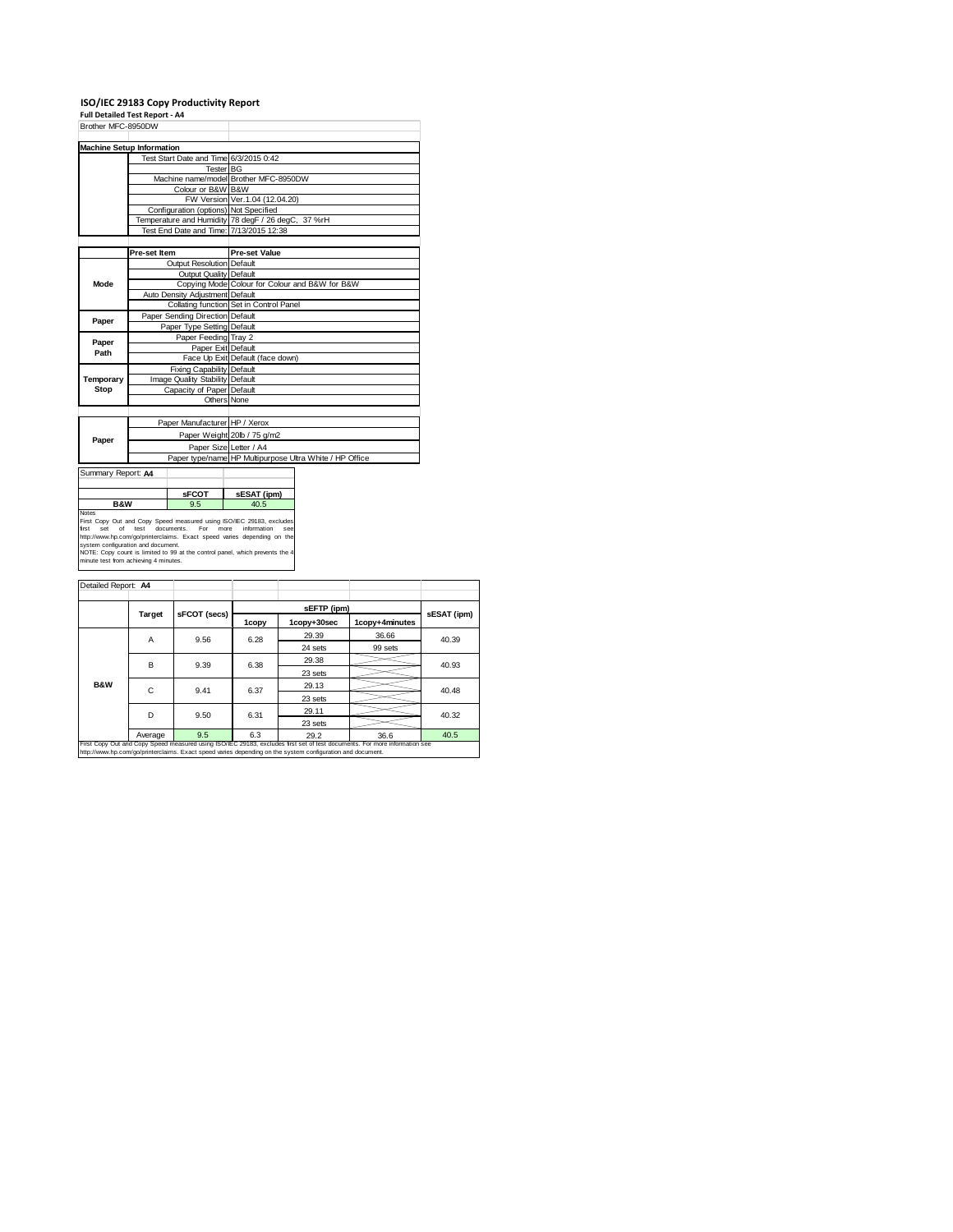## **ISO/IEC 29183 Copy Productivity Report Full Detailed Test Report ‐ A4**

| Brother MFC-8950DW                                                          |                                                              |                                       |                                                                                                                                                                               |  |  |  |  |
|-----------------------------------------------------------------------------|--------------------------------------------------------------|---------------------------------------|-------------------------------------------------------------------------------------------------------------------------------------------------------------------------------|--|--|--|--|
|                                                                             |                                                              |                                       |                                                                                                                                                                               |  |  |  |  |
| <b>Machine Setup Information</b>                                            |                                                              |                                       |                                                                                                                                                                               |  |  |  |  |
|                                                                             |                                                              |                                       | Test Start Date and Time 6/3/2015 0:42                                                                                                                                        |  |  |  |  |
|                                                                             |                                                              |                                       | Tester BG                                                                                                                                                                     |  |  |  |  |
|                                                                             |                                                              |                                       | Machine name/model Brother MFC-8950DW                                                                                                                                         |  |  |  |  |
|                                                                             |                                                              | Colour or B&W B&W                     |                                                                                                                                                                               |  |  |  |  |
|                                                                             |                                                              |                                       | FW Version Ver. 1.04 (12.04.20)                                                                                                                                               |  |  |  |  |
|                                                                             |                                                              | Configuration (options) Not Specified |                                                                                                                                                                               |  |  |  |  |
|                                                                             |                                                              |                                       | Temperature and Humidity 78 degF / 26 degC, 37 %rH                                                                                                                            |  |  |  |  |
|                                                                             |                                                              |                                       | Test End Date and Time: 7/13/2015 12:38                                                                                                                                       |  |  |  |  |
|                                                                             |                                                              |                                       |                                                                                                                                                                               |  |  |  |  |
|                                                                             | Pre-set Item                                                 |                                       | <b>Pre-set Value</b>                                                                                                                                                          |  |  |  |  |
|                                                                             |                                                              | Outout Resolution Default             |                                                                                                                                                                               |  |  |  |  |
|                                                                             |                                                              | Output Quality Default                |                                                                                                                                                                               |  |  |  |  |
| Mode                                                                        |                                                              |                                       | Copying Mode Colour for Colour and B&W for B&W                                                                                                                                |  |  |  |  |
|                                                                             |                                                              | Auto Density Adjustment Default       |                                                                                                                                                                               |  |  |  |  |
|                                                                             |                                                              |                                       | Collating function Set in Control Panel                                                                                                                                       |  |  |  |  |
|                                                                             |                                                              | Paper Sending Direction Default       |                                                                                                                                                                               |  |  |  |  |
| Paper                                                                       |                                                              | Paper Type Setting Default            |                                                                                                                                                                               |  |  |  |  |
|                                                                             |                                                              | Paper Feeding Tray 2                  |                                                                                                                                                                               |  |  |  |  |
| Paper                                                                       | Paper Exit Default                                           |                                       |                                                                                                                                                                               |  |  |  |  |
| Path                                                                        |                                                              |                                       | Face Up Exit Default (face down)                                                                                                                                              |  |  |  |  |
|                                                                             |                                                              | <b>Fixing Capability Default</b>      |                                                                                                                                                                               |  |  |  |  |
| Temporary                                                                   |                                                              |                                       |                                                                                                                                                                               |  |  |  |  |
| Stop                                                                        | Image Quality Stability Default<br>Capacity of Paper Default |                                       |                                                                                                                                                                               |  |  |  |  |
|                                                                             |                                                              |                                       |                                                                                                                                                                               |  |  |  |  |
|                                                                             |                                                              |                                       | Others None                                                                                                                                                                   |  |  |  |  |
|                                                                             |                                                              |                                       |                                                                                                                                                                               |  |  |  |  |
|                                                                             |                                                              | Paper Manufacturer HP / Xerox         |                                                                                                                                                                               |  |  |  |  |
| Paper                                                                       |                                                              |                                       | Paper Weight 20lb / 75 g/m2                                                                                                                                                   |  |  |  |  |
|                                                                             |                                                              |                                       | Paper Size Letter / A4                                                                                                                                                        |  |  |  |  |
|                                                                             |                                                              |                                       | Paper type/name HP Multipurpose Ultra White / HP Office                                                                                                                       |  |  |  |  |
| Summary Report: A4                                                          |                                                              |                                       |                                                                                                                                                                               |  |  |  |  |
|                                                                             |                                                              |                                       |                                                                                                                                                                               |  |  |  |  |
|                                                                             | <b>SFCOT</b>                                                 |                                       |                                                                                                                                                                               |  |  |  |  |
| <b>B&amp;W</b><br>9.5                                                       |                                                              | sESAT (ipm)<br>40.5                   |                                                                                                                                                                               |  |  |  |  |
| Notes<br>of<br>first<br>Set                                                 | test                                                         | documents.<br>For                     | First Copy Out and Copy Speed measured using ISO/IEC 29183, excludes<br>information<br>more<br>SAA<br>http://www.hp.com/go/printerclaims. Exact speed varies depending on the |  |  |  |  |
| system configuration and document.<br>minute test from achieving 4 minutes. |                                                              |                                       | NOTE: Copy count is limited to 99 at the control panel, which prevents the 4                                                                                                  |  |  |  |  |
| Detailed Report: A4                                                         |                                                              |                                       |                                                                                                                                                                               |  |  |  |  |
|                                                                             |                                                              |                                       |                                                                                                                                                                               |  |  |  |  |

|                |         | sFCOT (secs) |       |             |                |             |
|----------------|---------|--------------|-------|-------------|----------------|-------------|
|                | Target  |              | 1copy | 1copy+30sec | 1copy+4minutes | sESAT (ipm) |
|                | Α       | 9.56         | 6.28  | 29.39       | 36.66          | 40.39       |
|                |         |              |       | 24 sets     | 99 sets        |             |
|                | в       | 9.39         | 6.38  | 29.38       |                | 40.93       |
|                |         |              |       | 23 sets     |                |             |
| <b>B&amp;W</b> | C       | 9.41         | 6.37  | 29.13       |                | 40.48       |
|                |         |              |       | 23 sets     |                |             |
|                | D       | 9.50         | 6.31  | 29.11       |                | 40.32       |
|                |         |              |       | 23 sets     |                |             |
|                | Average | 9.5          | 6.3   | 29.2        | 36.6           | 40.5        |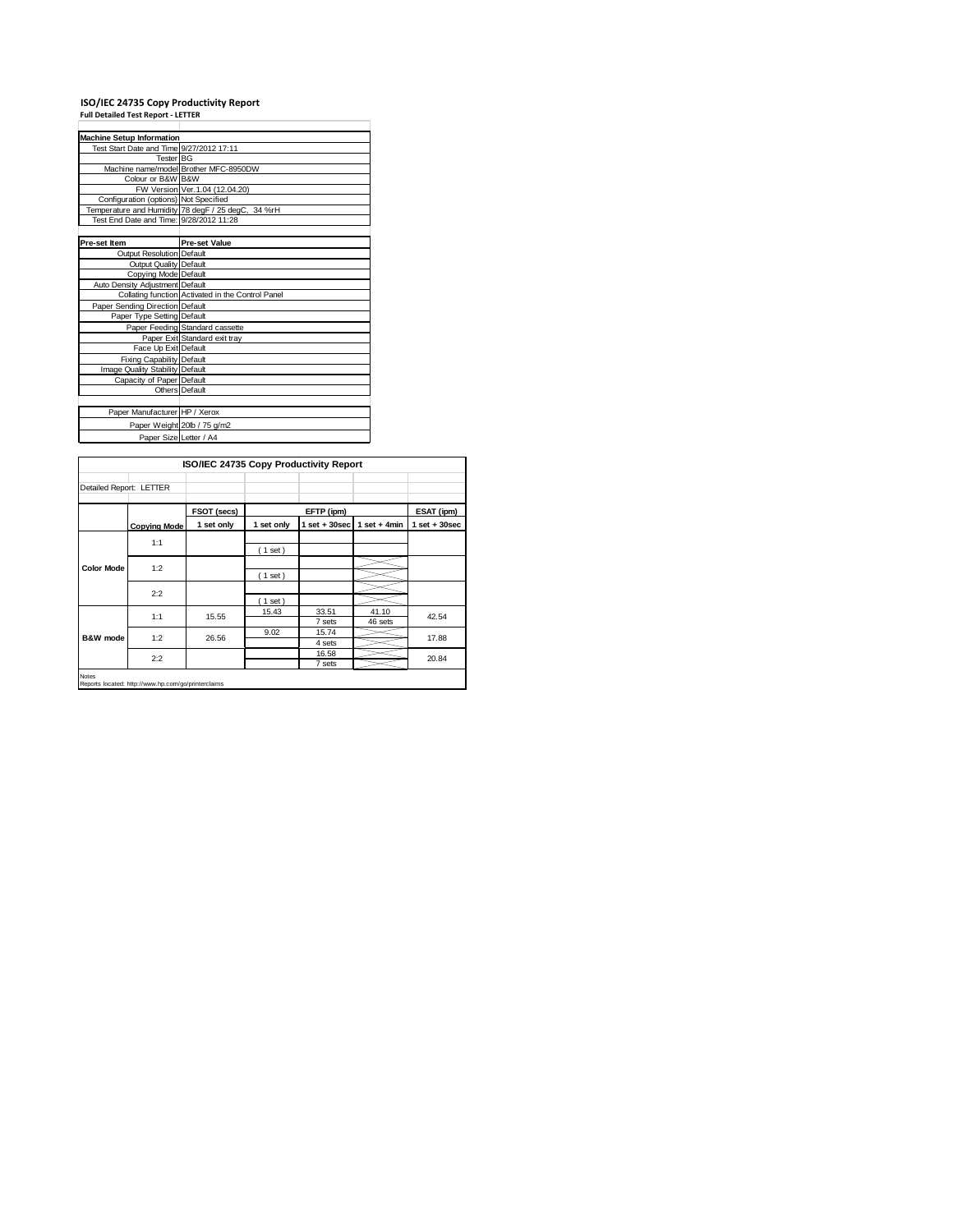## **ISO/IEC 24735 Copy Productivity Report Full Detailed Test Report ‐ LETTER**

| <b>Machine Setup Information</b>         |                                                    |
|------------------------------------------|----------------------------------------------------|
| Test Start Date and Time 9/27/2012 17:11 |                                                    |
| Tester BG                                |                                                    |
|                                          | Machine name/model Brother MFC-8950DW              |
| Colour or B&W B&W                        |                                                    |
|                                          | FW Version Ver. 1.04 (12.04.20)                    |
| Configuration (options) Not Specified    |                                                    |
|                                          | Temperature and Humidity 78 degF / 25 degC, 34 %rH |
| Test End Date and Time: 9/28/2012 11:28  |                                                    |
|                                          |                                                    |
| Pre-set Item                             | <b>Pre-set Value</b>                               |
| Output Resolution Default                |                                                    |
| Output Quality Default                   |                                                    |
| Copying Mode Default                     |                                                    |
| Auto Density Adjustment Default          |                                                    |
|                                          | Collating function Activated in the Control Panel  |
| Paper Sending Direction Default          |                                                    |
| Paper Type Setting Default               |                                                    |
|                                          | Paper Feeding Standard cassette                    |
|                                          | Paper Exit Standard exit tray                      |
| Face Up Exit Default                     |                                                    |
| <b>Fixing Capability Default</b>         |                                                    |
| Image Quality Stability Default          |                                                    |
| Capacity of Paper Default                |                                                    |
|                                          | Others Default                                     |
|                                          |                                                    |
| Paper Manufacturer HP / Xerox            |                                                    |
|                                          | Paper Weight 20lb / 75 g/m2                        |
| Paper Size Letter / A4                   |                                                    |

|                         |                                                     | ISO/IEC 24735 Copy Productivity Report |            |                   |                  |                   |
|-------------------------|-----------------------------------------------------|----------------------------------------|------------|-------------------|------------------|-------------------|
| Detailed Report: LETTER |                                                     |                                        |            |                   |                  |                   |
|                         |                                                     | FSOT (secs)                            |            | EFTP (ipm)        |                  | ESAT (ipm)        |
|                         | <b>Copying Mode</b>                                 | 1 set only                             | 1 set only | $1$ set $+30$ sec | $1$ set + 4min   | $1$ set $+30$ sec |
|                         | 1:1                                                 |                                        | (1 set)    |                   |                  |                   |
| <b>Color Mode</b>       | 1:2                                                 |                                        | (1 set)    |                   |                  |                   |
|                         | 2:2                                                 |                                        | (1 set)    |                   |                  |                   |
| B&W mode                | 1:1                                                 | 15.55                                  | 15.43      | 33.51<br>7 sets   | 41.10<br>46 sets | 42.54             |
|                         | 1:2                                                 | 26.56                                  | 9.02       | 15.74<br>4 sets   |                  | 17.88             |
|                         | 2:2                                                 |                                        |            | 16.58<br>7 sets   |                  | 20.84             |
| Notes                   | Reports located: http://www.hp.com/go/printerclaims |                                        |            |                   |                  |                   |